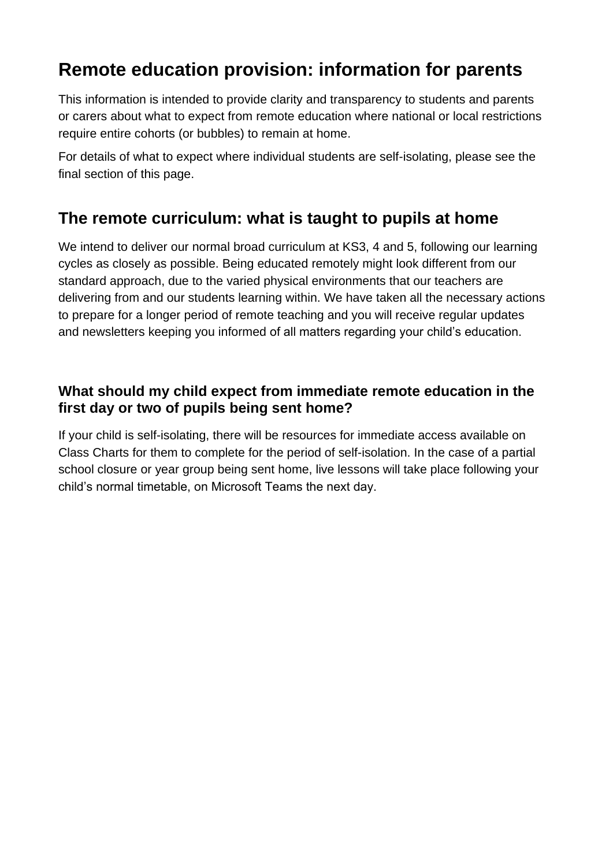# **Remote education provision: information for parents**

This information is intended to provide clarity and transparency to students and parents or carers about what to expect from remote education where national or local restrictions require entire cohorts (or bubbles) to remain at home.

For details of what to expect where individual students are self-isolating, please see the final section of this page.

### **The remote curriculum: what is taught to pupils at home**

We intend to deliver our normal broad curriculum at KS3, 4 and 5, following our learning cycles as closely as possible. Being educated remotely might look different from our standard approach, due to the varied physical environments that our teachers are delivering from and our students learning within. We have taken all the necessary actions to prepare for a longer period of remote teaching and you will receive regular updates and newsletters keeping you informed of all matters regarding your child's education.

### **What should my child expect from immediate remote education in the first day or two of pupils being sent home?**

If your child is self-isolating, there will be resources for immediate access available on Class Charts for them to complete for the period of self-isolation. In the case of a partial school closure or year group being sent home, live lessons will take place following your child's normal timetable, on Microsoft Teams the next day.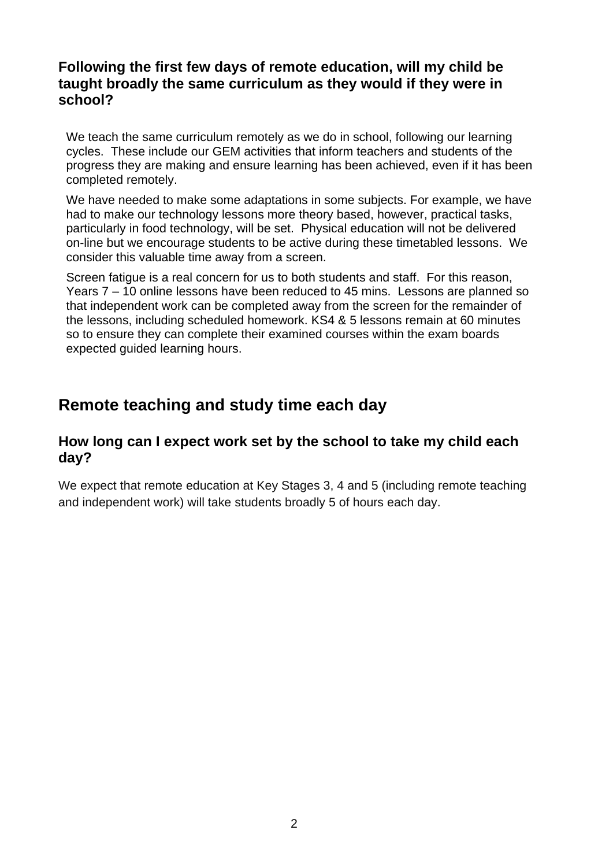### **Following the first few days of remote education, will my child be taught broadly the same curriculum as they would if they were in school?**

We teach the same curriculum remotely as we do in school, following our learning cycles. These include our GEM activities that inform teachers and students of the progress they are making and ensure learning has been achieved, even if it has been completed remotely.

We have needed to make some adaptations in some subjects. For example, we have had to make our technology lessons more theory based, however, practical tasks, particularly in food technology, will be set. Physical education will not be delivered on-line but we encourage students to be active during these timetabled lessons. We consider this valuable time away from a screen.

Screen fatigue is a real concern for us to both students and staff. For this reason, Years 7 – 10 online lessons have been reduced to 45 mins. Lessons are planned so that independent work can be completed away from the screen for the remainder of the lessons, including scheduled homework. KS4 & 5 lessons remain at 60 minutes so to ensure they can complete their examined courses within the exam boards expected guided learning hours.

### **Remote teaching and study time each day**

#### **How long can I expect work set by the school to take my child each day?**

We expect that remote education at Key Stages 3, 4 and 5 (including remote teaching and independent work) will take students broadly 5 of hours each day.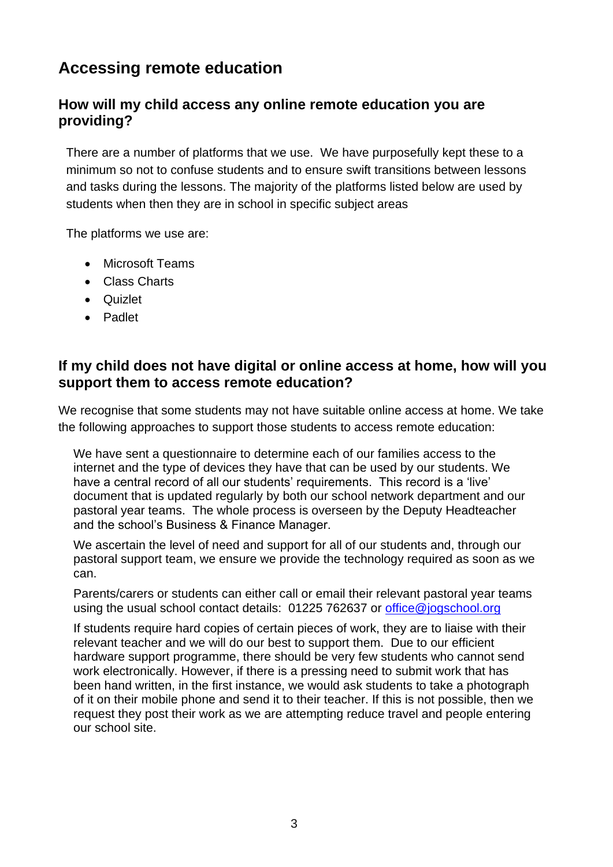## **Accessing remote education**

### **How will my child access any online remote education you are providing?**

There are a number of platforms that we use. We have purposefully kept these to a minimum so not to confuse students and to ensure swift transitions between lessons and tasks during the lessons. The majority of the platforms listed below are used by students when then they are in school in specific subject areas

The platforms we use are:

- Microsoft Teams
- Class Charts
- Quizlet
- Padlet

### **If my child does not have digital or online access at home, how will you support them to access remote education?**

We recognise that some students may not have suitable online access at home. We take the following approaches to support those students to access remote education:

We have sent a questionnaire to determine each of our families access to the internet and the type of devices they have that can be used by our students. We have a central record of all our students' requirements. This record is a 'live' document that is updated regularly by both our school network department and our pastoral year teams. The whole process is overseen by the Deputy Headteacher and the school's Business & Finance Manager.

We ascertain the level of need and support for all of our students and, through our pastoral support team, we ensure we provide the technology required as soon as we can.

Parents/carers or students can either call or email their relevant pastoral year teams using the usual school contact details: 01225 762637 or<office@jogschool.org>

If students require hard copies of certain pieces of work, they are to liaise with their relevant teacher and we will do our best to support them. Due to our efficient hardware support programme, there should be very few students who cannot send work electronically. However, if there is a pressing need to submit work that has been hand written, in the first instance, we would ask students to take a photograph of it on their mobile phone and send it to their teacher. If this is not possible, then we request they post their work as we are attempting reduce travel and people entering our school site.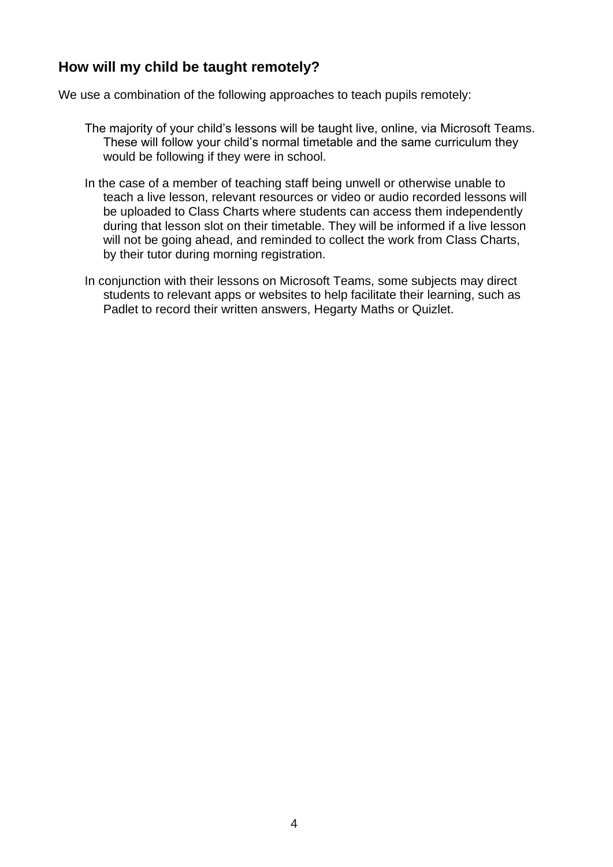### **How will my child be taught remotely?**

We use a combination of the following approaches to teach pupils remotely:

- The majority of your child's lessons will be taught live, online, via Microsoft Teams. These will follow your child's normal timetable and the same curriculum they would be following if they were in school.
- In the case of a member of teaching staff being unwell or otherwise unable to teach a live lesson, relevant resources or video or audio recorded lessons will be uploaded to Class Charts where students can access them independently during that lesson slot on their timetable. They will be informed if a live lesson will not be going ahead, and reminded to collect the work from Class Charts, by their tutor during morning registration.
- In conjunction with their lessons on Microsoft Teams, some subjects may direct students to relevant apps or websites to help facilitate their learning, such as Padlet to record their written answers, Hegarty Maths or Quizlet.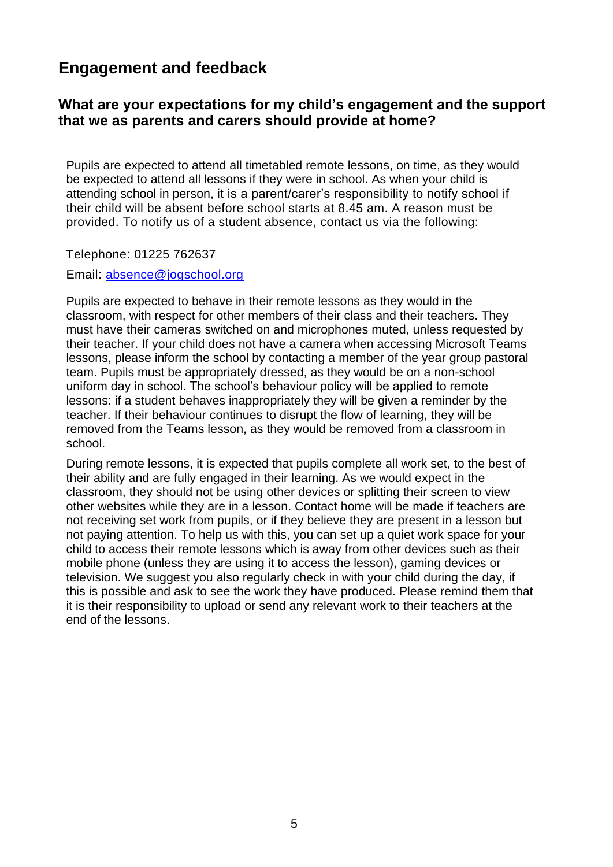### **Engagement and feedback**

#### **What are your expectations for my child's engagement and the support that we as parents and carers should provide at home?**

Pupils are expected to attend all timetabled remote lessons, on time, as they would be expected to attend all lessons if they were in school. As when your child is attending school in person, it is a parent/carer's responsibility to notify school if their child will be absent before school starts at 8.45 am. A reason must be provided. To notify us of a student absence, contact us via the following:

Telephone: 01225 762637

#### Email:<absence@jogschool.org>

Pupils are expected to behave in their remote lessons as they would in the classroom, with respect for other members of their class and their teachers. They must have their cameras switched on and microphones muted, unless requested by their teacher. If your child does not have a camera when accessing Microsoft Teams lessons, please inform the school by contacting a member of the year group pastoral team. Pupils must be appropriately dressed, as they would be on a non-school uniform day in school. The school's behaviour policy will be applied to remote lessons: if a student behaves inappropriately they will be given a reminder by the teacher. If their behaviour continues to disrupt the flow of learning, they will be removed from the Teams lesson, as they would be removed from a classroom in school.

During remote lessons, it is expected that pupils complete all work set, to the best of their ability and are fully engaged in their learning. As we would expect in the classroom, they should not be using other devices or splitting their screen to view other websites while they are in a lesson. Contact home will be made if teachers are not receiving set work from pupils, or if they believe they are present in a lesson but not paying attention. To help us with this, you can set up a quiet work space for your child to access their remote lessons which is away from other devices such as their mobile phone (unless they are using it to access the lesson), gaming devices or television. We suggest you also regularly check in with your child during the day, if this is possible and ask to see the work they have produced. Please remind them that it is their responsibility to upload or send any relevant work to their teachers at the end of the lessons.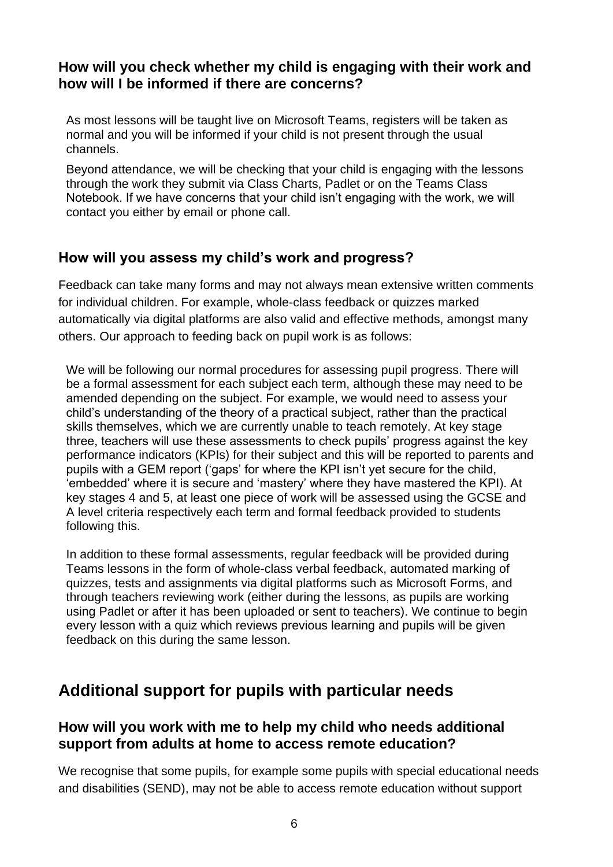#### **How will you check whether my child is engaging with their work and how will I be informed if there are concerns?**

As most lessons will be taught live on Microsoft Teams, registers will be taken as normal and you will be informed if your child is not present through the usual channels.

Beyond attendance, we will be checking that your child is engaging with the lessons through the work they submit via Class Charts, Padlet or on the Teams Class Notebook. If we have concerns that your child isn't engaging with the work, we will contact you either by email or phone call.

### **How will you assess my child's work and progress?**

Feedback can take many forms and may not always mean extensive written comments for individual children. For example, whole-class feedback or quizzes marked automatically via digital platforms are also valid and effective methods, amongst many others. Our approach to feeding back on pupil work is as follows:

We will be following our normal procedures for assessing pupil progress. There will be a formal assessment for each subject each term, although these may need to be amended depending on the subject. For example, we would need to assess your child's understanding of the theory of a practical subject, rather than the practical skills themselves, which we are currently unable to teach remotely. At key stage three, teachers will use these assessments to check pupils' progress against the key performance indicators (KPIs) for their subject and this will be reported to parents and pupils with a GEM report ('gaps' for where the KPI isn't yet secure for the child, 'embedded' where it is secure and 'mastery' where they have mastered the KPI). At key stages 4 and 5, at least one piece of work will be assessed using the GCSE and A level criteria respectively each term and formal feedback provided to students following this.

In addition to these formal assessments, regular feedback will be provided during Teams lessons in the form of whole-class verbal feedback, automated marking of quizzes, tests and assignments via digital platforms such as Microsoft Forms, and through teachers reviewing work (either during the lessons, as pupils are working using Padlet or after it has been uploaded or sent to teachers). We continue to begin every lesson with a quiz which reviews previous learning and pupils will be given feedback on this during the same lesson.

### **Additional support for pupils with particular needs**

#### **How will you work with me to help my child who needs additional support from adults at home to access remote education?**

We recognise that some pupils, for example some pupils with special educational needs and disabilities (SEND), may not be able to access remote education without support